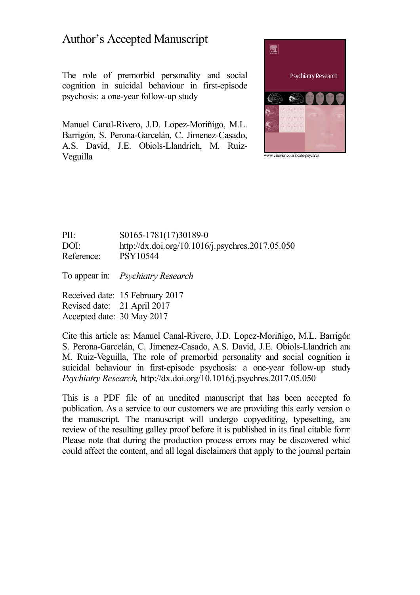# Author's Accepted Manuscript

The role of premorbid personality and social cognition in suicidal behaviour in first-episode psychosis: a one-year follow-up study

Manuel Canal-Rivero, J.D. Lopez-Moriñigo, M.L. Barrigón, S. Perona-Garcelán, C. Jimenez-Casado, A.S. David, J.E. Obiols-Llandrich, M. Ruiz- Veguilla



# PII: S0165-1781(17)30189-0 DOI: <http://dx.doi.org/10.1016/j.psychres.2017.05.050> Reference: PSY10544

To appear in: *Psychiatry Research*

Received date: 15 February 2017 Revised date: 21 April 2017 Accepted date: 30 May 2017

Cite this article as: Manuel Canal-Rivero, J.D. Lopez-Moriñigo, M.L. Barrigón, S. Perona-Garcelán, C. Jimenez-Casado, A.S. David, J.E. Obiols-Llandrich and M. Ruiz-Veguilla, The role of premorbid personality and social cognition in suicidal behaviour in first-episode psychosis: a one-year follow-up study, *Psychiatry Research,* <http://dx.doi.org/10.1016/j.psychres.2017.05.050>

This is a PDF file of an unedited manuscript that has been accepted for publication. As a service to our customers we are providing this early version of the manuscript. The manuscript will undergo copyediting, typesetting, and review of the resulting galley proof before it is published in its final citable form. Please note that during the production process errors may be discovered which could affect the content, and all legal disclaimers that apply to the journal pertain.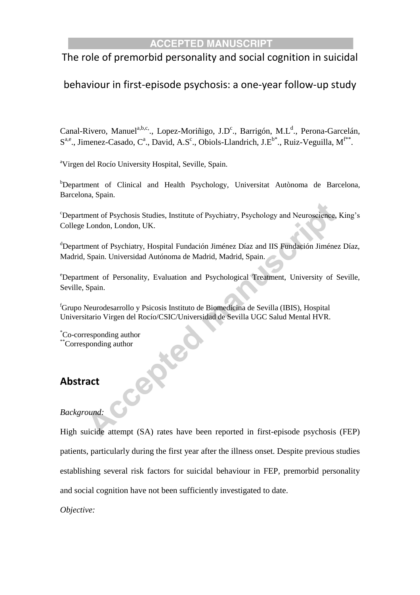# The role of premorbid personality and social cognition in suicidal

# behaviour in first-episode psychosis: a one-year follow-up study

Canal-Rivero, Manuel<sup>a,b,c.</sup>., Lopez-Moriñigo, J.D<sup>c</sup>., Barrigón, M.L<sup>d</sup>., Perona-Garcelán,  $S^{a,e}$ ., Jimenez-Casado, C<sup>a</sup>., David, A.S<sup>c</sup>., Obiols-Llandrich, J.E<sup>b\*</sup>., Ruiz-Veguilla, M<sup>f\*\*</sup>.

<sup>a</sup>Virgen del Rocío University Hospital, Seville, Spain.

CeP

b<sub>Department of Clinical and Health Psychology, Universitat Autònoma de Barcelona,</sub> Barcelona, Spain.

<sup>c</sup>Department of Psychosis Studies, Institute of Psychiatry, Psychology and Neuroscience, King's College London, London, UK.

<sup>d</sup>Department of Psychiatry, Hospital Fundación Jiménez Díaz and IIS Fundación Jiménez Díaz, Madrid, Spain. Universidad Autónoma de Madrid, Madrid, Spain.

<sup>e</sup>Department of Personality, Evaluation and Psychological Treatment, University of Seville, Seville, Spain.

<sup>f</sup>Grupo Neurodesarrollo y Psicosis Instituto de Biomedicina de Sevilla (IBIS), Hospital Universitario Virgen del Rocío/CSIC/Universidad de Sevilla UGC Salud Mental HVR.

\*Co-corresponding author \*\*Corresponding author

# **Abstract**

# *Background:*

High suicide attempt (SA) rates have been reported in first-episode psychosis (FEP) patients, particularly during the first year after the illness onset. Despite previous studies establishing several risk factors for suicidal behaviour in FEP, premorbid personality and social cognition have not been sufficiently investigated to date.

*Objective:*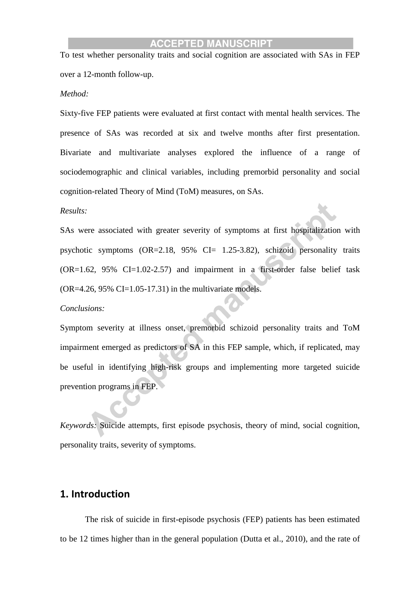To test whether personality traits and social cognition are associated with SAs in FEP over a 12-month follow-up.

#### *Method:*

Sixty-five FEP patients were evaluated at first contact with mental health services. The presence of SAs was recorded at six and twelve months after first presentation. Bivariate and multivariate analyses explored the influence of a range of sociodemographic and clinical variables, including premorbid personality and social cognition-related Theory of Mind (ToM) measures, on SAs.

#### *Results:*

SAs were associated with greater severity of symptoms at first hospitalization with psychotic symptoms  $(OR=2.18, 95\% \text{ CI} = 1.25-3.82)$ , schizoid personality traits (OR=1.62, 95% CI=1.02-2.57) and impairment in a first-order false belief task  $(OR=4.26, 95\% CI=1.05-17.31)$  in the multivariate models.

#### *Conclusions:*

Symptom severity at illness onset, premorbid schizoid personality traits and ToM impairment emerged as predictors of SA in this FEP sample, which, if replicated, may be useful in identifying high-risk groups and implementing more targeted suicide prevention programs in FEP.

*Keywords:* Suicide attempts, first episode psychosis, theory of mind, social cognition, personality traits, severity of symptoms.

# **1. Introduction**

The risk of suicide in first-episode psychosis (FEP) patients has been estimated to be 12 times higher than in the general population (Dutta et al., 2010), and the rate of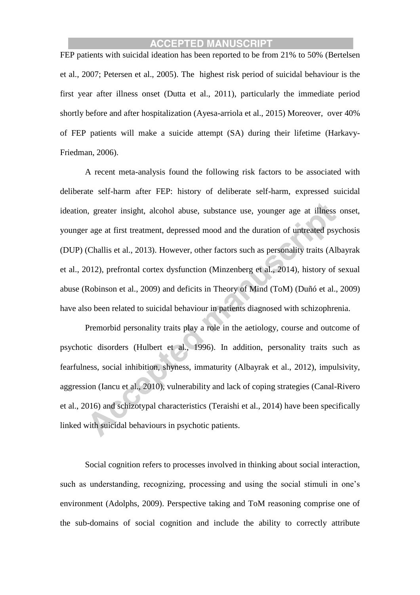FEP patients with suicidal ideation has been reported to be from 21% to 50% (Bertelsen et al., 2007; Petersen et al., 2005). The highest risk period of suicidal behaviour is the first year after illness onset (Dutta et al., 2011), particularly the immediate period shortly before and after hospitalization (Ayesa-arriola et al., 2015) Moreover, over 40% of FEP patients will make a suicide attempt (SA) during their lifetime (Harkavy-Friedman, 2006).

A recent meta-analysis found the following risk factors to be associated with deliberate self-harm after FEP: history of deliberate self-harm, expressed suicidal ideation, greater insight, alcohol abuse, substance use, younger age at illness onset, younger age at first treatment, depressed mood and the duration of untreated psychosis (DUP) (Challis et al., 2013). However, other factors such as personality traits (Albayrak et al., 2012), prefrontal cortex dysfunction (Minzenberg et al., 2014), history of sexual abuse (Robinson et al., 2009) and deficits in Theory of Mind (ToM) (Duñó et al., 2009) have also been related to suicidal behaviour in patients diagnosed with schizophrenia.

Premorbid personality traits play a role in the aetiology, course and outcome of psychotic disorders (Hulbert et al., 1996). In addition, personality traits such as fearfulness, social inhibition, shyness, immaturity (Albayrak et al., 2012), impulsivity, aggression (Iancu et al., 2010), vulnerability and lack of coping strategies (Canal-Rivero et al., 2016) and schizotypal characteristics (Teraishi et al., 2014) have been specifically linked with suicidal behaviours in psychotic patients.

Social cognition refers to processes involved in thinking about social interaction, such as understanding, recognizing, processing and using the social stimuli in one's environment (Adolphs, 2009). Perspective taking and ToM reasoning comprise one of the sub-domains of social cognition and include the ability to correctly attribute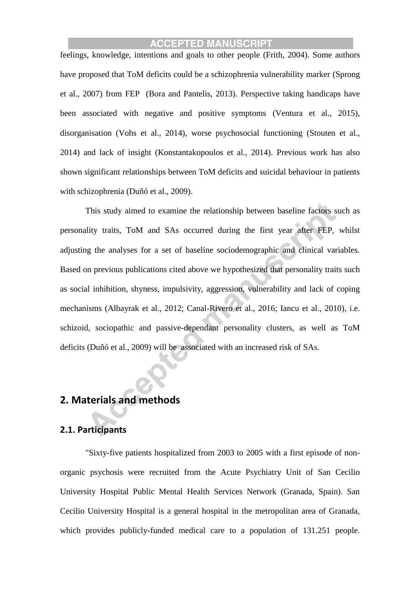feelings, knowledge, intentions and goals to other people (Frith, 2004). Some authors have proposed that ToM deficits could be a schizophrenia vulnerability marker (Sprong et al., 2007) from FEP (Bora and Pantelis, 2013). Perspective taking handicaps have been associated with negative and positive symptoms (Ventura et al., 2015), disorganisation (Vohs et al., 2014), worse psychosocial functioning (Stouten et al., 2014) and lack of insight (Konstantakopoulos et al., 2014). Previous work has also shown significant relationships between ToM deficits and suicidal behaviour in patients with schizophrenia (Duñó et al., 2009).

This study aimed to examine the relationship between baseline factors such as personality traits, ToM and SAs occurred during the first year after FEP, whilst adjusting the analyses for a set of baseline sociodemographic and clinical variables. Based on previous publications cited above we hypothesized that personality traits such as social inhibition, shyness, impulsivity, aggression, vulnerability and lack of coping mechanisms (Albayrak et al., 2012; Canal-Rivero et al., 2016; Iancu et al., 2010), i.e. schizoid, sociopathic and passive-dependant personality clusters, as well as ToM deficits (Duñó et al., 2009) will be associated with an increased risk of SAs.

# **2. Materials and methods**

# **2.1. Participants**

"Sixty-five patients hospitalized from 2003 to 2005 with a first episode of nonorganic psychosis were recruited from the Acute Psychiatry Unit of San Cecilio University Hospital Public Mental Health Services Network (Granada, Spain). San Cecilio University Hospital is a general hospital in the metropolitan area of Granada, which provides publicly-funded medical care to a population of 131.251 people.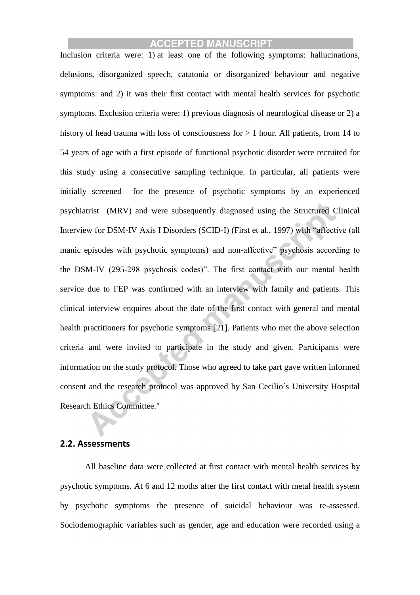Inclusion criteria were: 1) at least one of the following symptoms: hallucinations, delusions, disorganized speech, catatonia or disorganized behaviour and negative symptoms: and 2) it was their first contact with mental health services for psychotic symptoms. Exclusion criteria were: 1) previous diagnosis of neurological disease or 2) a history of head trauma with loss of consciousness for  $> 1$  hour. All patients, from 14 to 54 years of age with a first episode of functional psychotic disorder were recruited for this study using a consecutive sampling technique. In particular, all patients were initially screened for the presence of psychotic symptoms by an experienced psychiatrist (MRV) and were subsequently diagnosed using the Structured Clinical Interview for DSM-IV Axis I Disorders (SCID-I) (First et al., 1997) with "affective (all manic episodes with psychotic symptoms) and non-affective" psychosis according to the DSM-IV (295-298 psychosis codes)". The first contact with our mental health service due to FEP was confirmed with an interview with family and patients. This clinical interview enquires about the date of the first contact with general and mental health practitioners for psychotic symptoms [21]. Patients who met the above selection criteria and were invited to participate in the study and given. Participants were information on the study protocol. Those who agreed to take part gave written informed consent and the research protocol was approved by San Cecilio´s University Hospital Research Ethics Committee."

#### **2.2. Assessments**

All baseline data were collected at first contact with mental health services by psychotic symptoms. At 6 and 12 moths after the first contact with metal health system by psychotic symptoms the presence of suicidal behaviour was re-assessed. Sociodemographic variables such as gender, age and education were recorded using a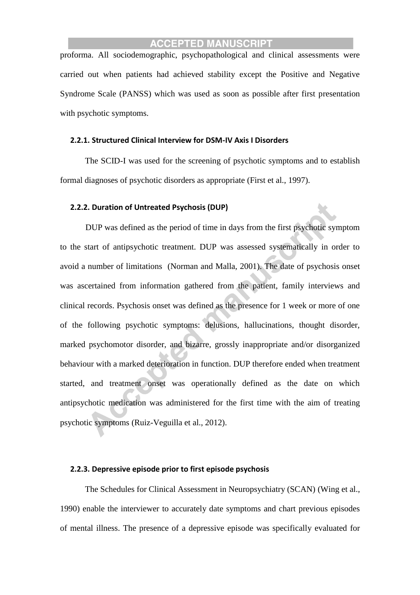proforma. All sociodemographic, psychopathological and clinical assessments were carried out when patients had achieved stability except the Positive and Negative Syndrome Scale (PANSS) which was used as soon as possible after first presentation with psychotic symptoms.

#### **2.2.1. Structured Clinical Interview for DSM-IV Axis I Disorders**

The SCID-I was used for the screening of psychotic symptoms and to establish formal diagnoses of psychotic disorders as appropriate (First et al., 1997).

#### **2.2.2. Duration of Untreated Psychosis (DUP)**

DUP was defined as the period of time in days from the first psychotic symptom to the start of antipsychotic treatment. DUP was assessed systematically in order to avoid a number of limitations (Norman and Malla, 2001). The date of psychosis onset was ascertained from information gathered from the patient, family interviews and clinical records. Psychosis onset was defined as the presence for 1 week or more of one of the following psychotic symptoms: delusions, hallucinations, thought disorder, marked psychomotor disorder, and bizarre, grossly inappropriate and/or disorganized behaviour with a marked deterioration in function. DUP therefore ended when treatment started, and treatment onset was operationally defined as the date on which antipsychotic medication was administered for the first time with the aim of treating psychotic symptoms (Ruiz-Veguilla et al., 2012).

## **2.2.3. Depressive episode prior to first episode psychosis**

The Schedules for Clinical Assessment in Neuropsychiatry (SCAN) (Wing et al., 1990) enable the interviewer to accurately date symptoms and chart previous episodes of mental illness. The presence of a depressive episode was specifically evaluated for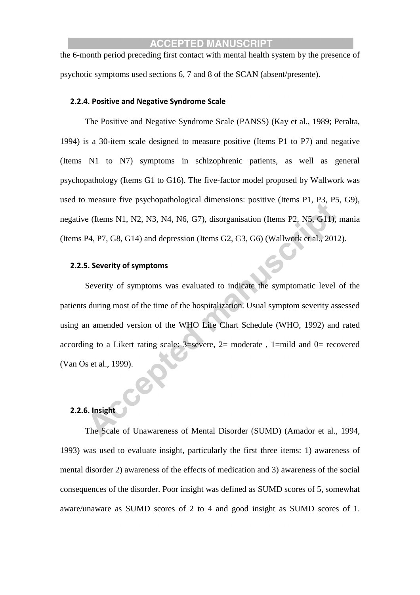the 6-month period preceding first contact with mental health system by the presence of psychotic symptoms used sections 6, 7 and 8 of the SCAN (absent/presente).

#### **2.2.4. Positive and Negative Syndrome Scale**

The Positive and Negative Syndrome Scale (PANSS) (Kay et al., 1989; Peralta, 1994) is a 30-item scale designed to measure positive (Items P1 to P7) and negative (Items N1 to N7) symptoms in schizophrenic patients, as well as general psychopathology (Items G1 to G16). The five-factor model proposed by Wallwork was used to measure five psychopathological dimensions: positive (Items P1, P3, P5, G9), negative (Items N1, N2, N3, N4, N6, G7), disorganisation (Items P2, N5, G11), mania (Items P4, P7, G8, G14) and depression (Items G2, G3, G6) (Wallwork et al., 2012).

#### **2.2.5. Severity of symptoms**

Severity of symptoms was evaluated to indicate the symptomatic level of the patients during most of the time of the hospitalization. Usual symptom severity assessed using an amended version of the WHO Life Chart Schedule (WHO, 1992) and rated according to a Likert rating scale:  $3$ =severe,  $2$ = moderate,  $1$ =mild and  $0$ = recovered (Van Os et al., 1999).

### **2.2.6. Insight**

The Scale of Unawareness of Mental Disorder (SUMD) (Amador et al., 1994, 1993) was used to evaluate insight, particularly the first three items: 1) awareness of mental disorder 2) awareness of the effects of medication and 3) awareness of the social consequences of the disorder. Poor insight was defined as SUMD scores of 5, somewhat aware/unaware as SUMD scores of 2 to 4 and good insight as SUMD scores of 1.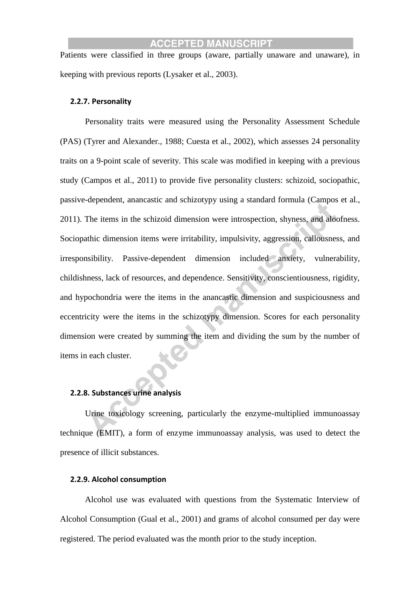Patients were classified in three groups (aware, partially unaware and unaware), in keeping with previous reports (Lysaker et al., 2003).

#### **2.2.7. Personality**

Personality traits were measured using the Personality Assessment Schedule (PAS) (Tyrer and Alexander., 1988; Cuesta et al., 2002), which assesses 24 personality traits on a 9-point scale of severity. This scale was modified in keeping with a previous study (Campos et al., 2011) to provide five personality clusters: schizoid, sociopathic, passive-dependent, anancastic and schizotypy using a standard formula (Campos et al., 2011). The items in the schizoid dimension were introspection, shyness, and aloofness. Sociopathic dimension items were irritability, impulsivity, aggression, callousness, and irresponsibility. Passive-dependent dimension included anxiety, vulnerability, childishness, lack of resources, and dependence. Sensitivity, conscientiousness, rigidity, and hypochondria were the items in the anancastic dimension and suspiciousness and eccentricity were the items in the schizotypy dimension. Scores for each personality dimension were created by summing the item and dividing the sum by the number of items in each cluster.

### **2.2.8. Substances urine analysis**

Urine toxicology screening, particularly the enzyme-multiplied immunoassay technique (EMIT), a form of enzyme immunoassay analysis, was used to detect the presence of illicit substances.

#### **2.2.9. Alcohol consumption**

Alcohol use was evaluated with questions from the Systematic Interview of Alcohol Consumption (Gual et al., 2001) and grams of alcohol consumed per day were registered. The period evaluated was the month prior to the study inception.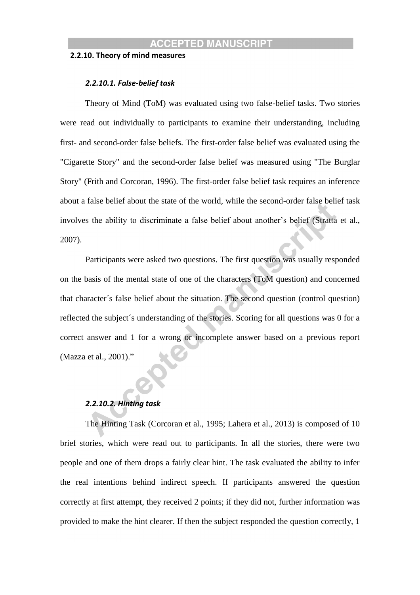#### **2.2.10. Theory of mind measures**

#### *2.2.10.1. False-belief task*

Theory of Mind (ToM) was evaluated using two false-belief tasks. Two stories were read out individually to participants to examine their understanding, including first- and second-order false beliefs. The first-order false belief was evaluated using the "Cigarette Story" and the second-order false belief was measured using "The Burglar Story" (Frith and Corcoran, 1996). The first-order false belief task requires an inference about a false belief about the state of the world, while the second-order false belief task involves the ability to discriminate a false belief about another's belief (Stratta et al., 2007).

Participants were asked two questions. The first question was usually responded on the basis of the mental state of one of the characters (ToM question) and concerned that character´s false belief about the situation. The second question (control question) reflected the subject´s understanding of the stories. Scoring for all questions was 0 for a correct answer and 1 for a wrong or incomplete answer based on a previous report (Mazza et al., 2001)."

#### *2.2.10.2. Hinting task*

The Hinting Task (Corcoran et al., 1995; Lahera et al., 2013) is composed of 10 brief stories, which were read out to participants. In all the stories, there were two people and one of them drops a fairly clear hint. The task evaluated the ability to infer the real intentions behind indirect speech. If participants answered the question correctly at first attempt, they received 2 points; if they did not, further information was provided to make the hint clearer. If then the subject responded the question correctly, 1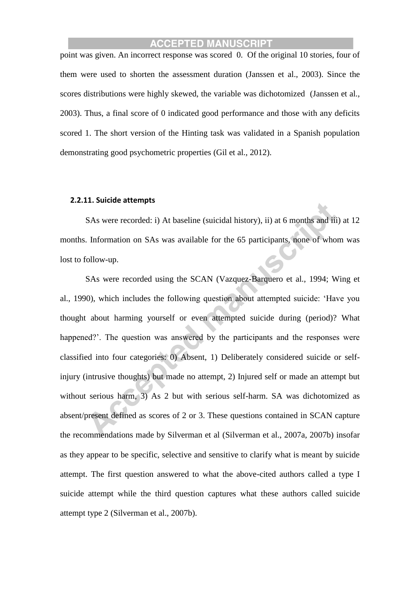point was given. An incorrect response was scored 0. Of the original 10 stories, four of them were used to shorten the assessment duration (Janssen et al., 2003). Since the scores distributions were highly skewed, the variable was dichotomized (Janssen et al., 2003). Thus, a final score of 0 indicated good performance and those with any deficits scored 1. The short version of the Hinting task was validated in a Spanish population demonstrating good psychometric properties (Gil et al., 2012).

#### **2.2.11. Suicide attempts**

SAs were recorded: i) At baseline (suicidal history), ii) at 6 months and iii) at 12 months. Information on SAs was available for the 65 participants, none of whom was lost to follow-up.

SAs were recorded using the SCAN (Vazquez-Barquero et al., 1994; Wing et al., 1990), which includes the following question about attempted suicide: 'Have you thought about harming yourself or even attempted suicide during (period)? What happened?'. The question was answered by the participants and the responses were classified into four categories: 0) Absent, 1) Deliberately considered suicide or selfinjury (intrusive thoughts) but made no attempt, 2) Injured self or made an attempt but without serious harm, 3) As 2 but with serious self-harm. SA was dichotomized as absent/present defined as scores of 2 or 3. These questions contained in SCAN capture the recommendations made by Silverman et al (Silverman et al., 2007a, 2007b) insofar as they appear to be specific, selective and sensitive to clarify what is meant by suicide attempt. The first question answered to what the above-cited authors called a type I suicide attempt while the third question captures what these authors called suicide attempt type 2 (Silverman et al., 2007b).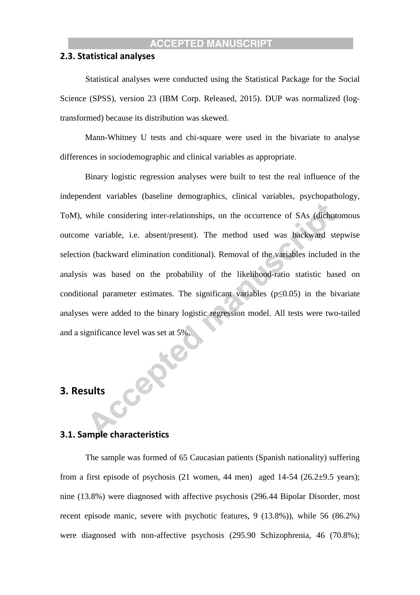#### **2.3. Statistical analyses**

Statistical analyses were conducted using the Statistical Package for the Social Science (SPSS), version 23 (IBM Corp. Released, 2015). DUP was normalized (logtransformed) because its distribution was skewed.

Mann-Whitney U tests and chi-square were used in the bivariate to analyse differences in sociodemographic and clinical variables as appropriate.

Binary logistic regression analyses were built to test the real influence of the independent variables (baseline demographics, clinical variables, psychopathology, ToM), while considering inter-relationships, on the occurrence of SAs (dichotomous outcome variable, i.e. absent/present). The method used was backward stepwise selection (backward elimination conditional). Removal of the variables included in the analysis was based on the probability of the likelihood-ratio statistic based on conditional parameter estimates. The significant variables ( $p \le 0.05$ ) in the bivariate analyses were added to the binary logistic regression model. All tests were two-tailed and a significance level was set at 5%.

# **3. Results**

# **3.1. Sample characteristics**

CeP

The sample was formed of 65 Caucasian patients (Spanish nationality) suffering from a first episode of psychosis  $(21 \text{ women}, 44 \text{ men})$  aged  $14-54$   $(26.2\pm9.5 \text{ years})$ ; nine (13.8%) were diagnosed with affective psychosis (296.44 Bipolar Disorder, most recent episode manic, severe with psychotic features, 9 (13.8%)), while 56 (86.2%) were diagnosed with non-affective psychosis (295.90 Schizophrenia, 46 (70.8%);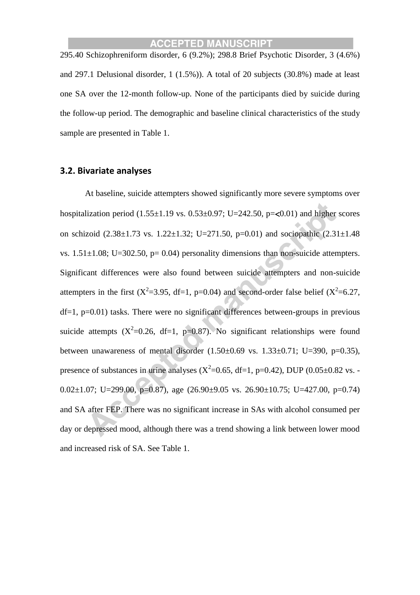295.40 Schizophreniform disorder, 6 (9.2%); 298.8 Brief Psychotic Disorder, 3 (4.6%) and 297.1 Delusional disorder, 1 (1.5%)). A total of 20 subjects (30.8%) made at least one SA over the 12-month follow-up. None of the participants died by suicide during the follow-up period. The demographic and baseline clinical characteristics of the study sample are presented in Table 1.

#### **3.2. Bivariate analyses**

At baseline, suicide attempters showed significantly more severe symptoms over hospitalization period  $(1.55 \pm 1.19 \text{ vs. } 0.53 \pm 0.97; U = 242.50, p = 0.01)$  and higher scores on schizoid  $(2.38\pm1.73 \text{ vs. } 1.22\pm1.32; \text{ U}=271.50, \text{ p}=0.01)$  and sociopathic  $(2.31\pm1.48)$ vs.  $1.51\pm1.08$ ; U=302.50, p= 0.04) personality dimensions than non-suicide attempters. Significant differences were also found between suicide attempters and non-suicide attempters in the first ( $X^2$ =3.95, df=1, p=0.04) and second-order false belief ( $X^2$ =6.27,  $df=1$ ,  $p=0.01$ ) tasks. There were no significant differences between-groups in previous suicide attempts  $(X^2=0.26, df=1, p=0.87)$ . No significant relationships were found between unawareness of mental disorder  $(1.50\pm0.69 \text{ vs. } 1.33\pm0.71; \text{ U}=390, \text{ p}=0.35)$ , presence of substances in urine analyses  $(X^2=0.65, df=1, p=0.42)$ , DUP  $(0.05\pm0.82 \text{ vs. -}1)$ 0.02 $\pm$ 1.07; U=299.00, p=0.87), age (26.90 $\pm$ 9.05 vs. 26.90 $\pm$ 10.75; U=427.00, p=0.74) and SA after FEP. There was no significant increase in SAs with alcohol consumed per day or depressed mood, although there was a trend showing a link between lower mood and increased risk of SA. See Table 1.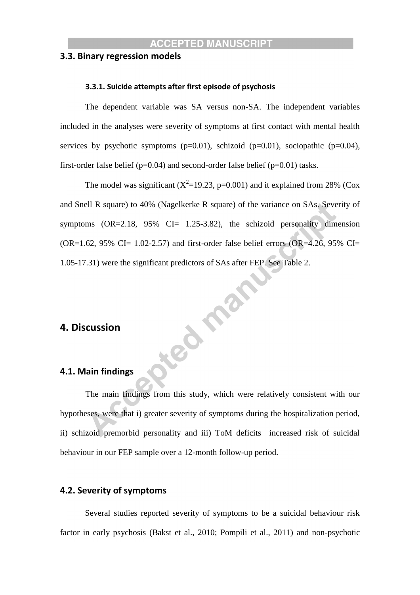## **3.3. Binary regression models**

#### **3.3.1. Suicide attempts after first episode of psychosis**

The dependent variable was SA versus non-SA. The independent variables included in the analyses were severity of symptoms at first contact with mental health services by psychotic symptoms  $(p=0.01)$ , schizoid  $(p=0.01)$ , sociopathic  $(p=0.04)$ , first-order false belief ( $p=0.04$ ) and second-order false belief ( $p=0.01$ ) tasks.

The model was significant ( $X^2$ =19.23, p=0.001) and it explained from 28% (Cox and Snell R square) to 40% (Nagelkerke R square) of the variance on SAs. Severity of symptoms  $(OR=2.18, 95\% \text{ CI} = 1.25-3.82)$ , the schizoid personality dimension  $(OR=1.62, 95\% \text{ CI} = 1.02-2.57)$  and first-order false belief errors  $(OR=4.26, 95\% \text{ CI} = 1.02)$ 1.05-17.31) were the significant predictors of SAs after FEP. See Table 2.

# **4. Discussion**

#### **4.1. Main findings**

The main findings from this study, which were relatively consistent with our hypotheses, were that i) greater severity of symptoms during the hospitalization period, ii) schizoid premorbid personality and iii) ToM deficits increased risk of suicidal behaviour in our FEP sample over a 12-month follow-up period.

Jeon mar

# **4.2. Severity of symptoms**

Several studies reported severity of symptoms to be a suicidal behaviour risk factor in early psychosis (Bakst et al., 2010; Pompili et al., 2011) and non-psychotic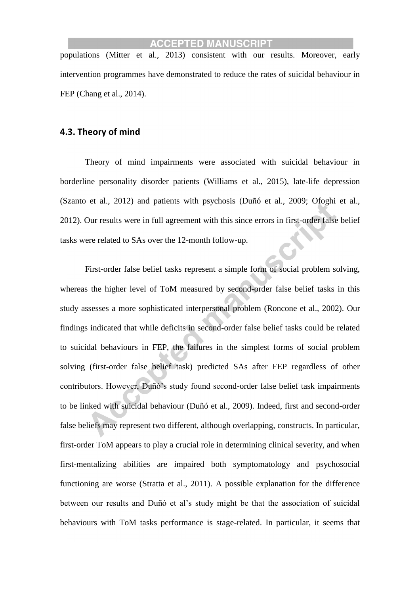populations (Mitter et al., 2013) consistent with our results. Moreover, early intervention programmes have demonstrated to reduce the rates of suicidal behaviour in FEP (Chang et al., 2014).

# **4.3. Theory of mind**

Theory of mind impairments were associated with suicidal behaviour in borderline personality disorder patients (Williams et al., 2015), late-life depression (Szanto et al., 2012) and patients with psychosis (Duñó et al., 2009; Ofoghi et al., 2012). Our results were in full agreement with this since errors in first-order false belief tasks were related to SAs over the 12-month follow-up.

First-order false belief tasks represent a simple form of social problem solving, whereas the higher level of ToM measured by second-order false belief tasks in this study assesses a more sophisticated interpersonal problem (Roncone et al., 2002). Our findings indicated that while deficits in second-order false belief tasks could be related to suicidal behaviours in FEP, the failures in the simplest forms of social problem solving (first-order false belief task) predicted SAs after FEP regardless of other contributors. However, Duñó's study found second-order false belief task impairments to be linked with suicidal behaviour (Duñó et al., 2009). Indeed, first and second-order false beliefs may represent two different, although overlapping, constructs. In particular, first-order ToM appears to play a crucial role in determining clinical severity, and when first-mentalizing abilities are impaired both symptomatology and psychosocial functioning are worse (Stratta et al., 2011). A possible explanation for the difference between our results and Duñó et al's study might be that the association of suicidal behaviours with ToM tasks performance is stage-related. In particular, it seems that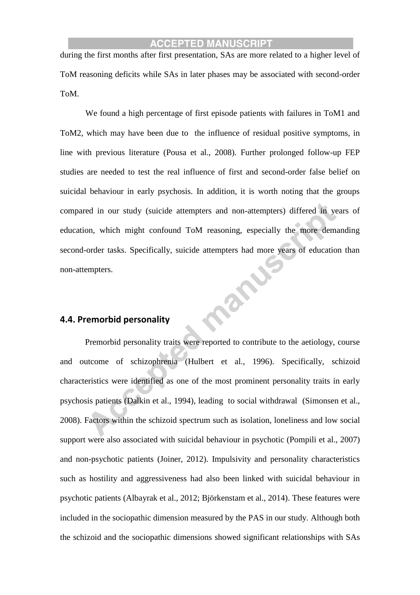during the first months after first presentation, SAs are more related to a higher level of ToM reasoning deficits while SAs in later phases may be associated with second-order ToM.

We found a high percentage of first episode patients with failures in ToM1 and ToM2, which may have been due to the influence of residual positive symptoms, in line with previous literature (Pousa et al., 2008)*.* Further prolonged follow-up FEP studies are needed to test the real influence of first and second-order false belief on suicidal behaviour in early psychosis. In addition, it is worth noting that the groups compared in our study (suicide attempters and non-attempters) differed in years of education, which might confound ToM reasoning, especially the more demanding second-order tasks. Specifically, suicide attempters had more years of education than manu non-attempters.

# **4.4. Premorbid personality**

Premorbid personality traits were reported to contribute to the aetiology, course and outcome of schizophrenia (Hulbert et al., 1996). Specifically, schizoid characteristics were identified as one of the most prominent personality traits in early psychosis patients (Dalkin et al., 1994), leading to social withdrawal (Simonsen et al., 2008). Factors within the schizoid spectrum such as isolation, loneliness and low social support were also associated with suicidal behaviour in psychotic (Pompili et al., 2007) and non-psychotic patients (Joiner, 2012). Impulsivity and personality characteristics such as hostility and aggressiveness had also been linked with suicidal behaviour in psychotic patients (Albayrak et al., 2012; Björkenstam et al., 2014). These features were included in the sociopathic dimension measured by the PAS in our study. Although both the schizoid and the sociopathic dimensions showed significant relationships with SAs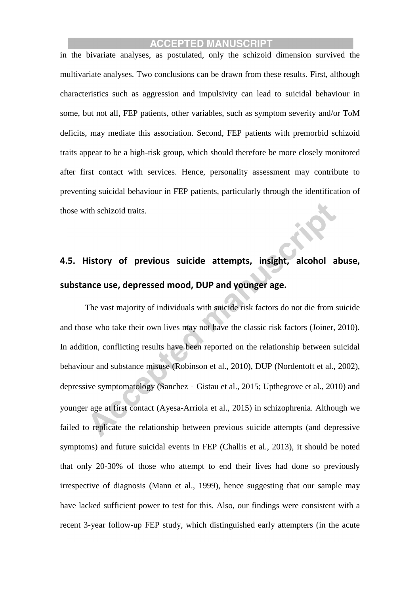in the bivariate analyses, as postulated, only the schizoid dimension survived the multivariate analyses. Two conclusions can be drawn from these results. First, although characteristics such as aggression and impulsivity can lead to suicidal behaviour in some, but not all, FEP patients, other variables, such as symptom severity and/or ToM deficits, may mediate this association. Second, FEP patients with premorbid schizoid traits appear to be a high-risk group, which should therefore be more closely monitored after first contact with services. Hence, personality assessment may contribute to preventing suicidal behaviour in FEP patients, particularly through the identification of those with schizoid traits.

# **4.5. History of previous suicide attempts, insight, alcohol abuse, substance use, depressed mood, DUP and younger age.**

The vast majority of individuals with suicide risk factors do not die from suicide and those who take their own lives may not have the classic risk factors (Joiner, 2010). In addition, conflicting results have been reported on the relationship between suicidal behaviour and substance misuse (Robinson et al., 2010), DUP (Nordentoft et al., 2002), depressive symptomatology (Sanchez‐Gistau et al., 2015; Upthegrove et al., 2010) and younger age at first contact (Ayesa-Arriola et al., 2015) in schizophrenia. Although we failed to replicate the relationship between previous suicide attempts (and depressive symptoms) and future suicidal events in FEP (Challis et al., 2013), it should be noted that only 20-30% of those who attempt to end their lives had done so previously irrespective of diagnosis (Mann et al., 1999), hence suggesting that our sample may have lacked sufficient power to test for this. Also, our findings were consistent with a recent 3-year follow-up FEP study, which distinguished early attempters (in the acute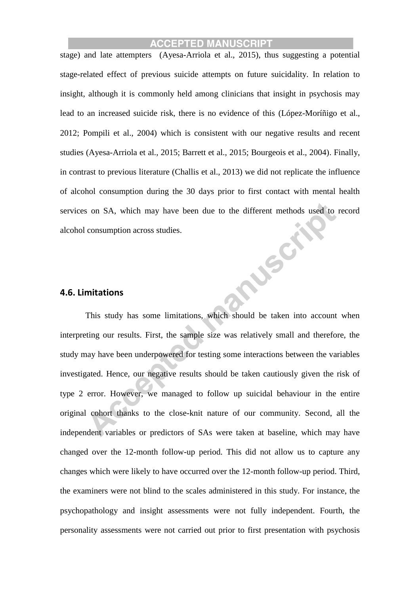stage) and late attempters (Ayesa-Arriola et al., 2015), thus suggesting a potential stage-related effect of previous suicide attempts on future suicidality. In relation to insight, although it is commonly held among clinicians that insight in psychosis may lead to an increased suicide risk, there is no evidence of this (López-Moríñigo et al., 2012; Pompili et al., 2004) which is consistent with our negative results and recent studies (Ayesa-Arriola et al., 2015; Barrett et al., 2015; Bourgeois et al., 2004). Finally, in contrast to previous literature (Challis et al., 2013) we did not replicate the influence of alcohol consumption during the 30 days prior to first contact with mental health services on SA, which may have been due to the different methods used to record **ANSOF** alcohol consumption across studies.

#### **4.6. Limitations**

This study has some limitations, which should be taken into account when interpreting our results. First, the sample size was relatively small and therefore, the study may have been underpowered for testing some interactions between the variables investigated. Hence, our negative results should be taken cautiously given the risk of type 2 error. However, we managed to follow up suicidal behaviour in the entire original cohort thanks to the close-knit nature of our community. Second, all the independent variables or predictors of SAs were taken at baseline, which may have changed over the 12-month follow-up period. This did not allow us to capture any changes which were likely to have occurred over the 12-month follow-up period. Third, the examiners were not blind to the scales administered in this study. For instance, the psychopathology and insight assessments were not fully independent. Fourth, the personality assessments were not carried out prior to first presentation with psychosis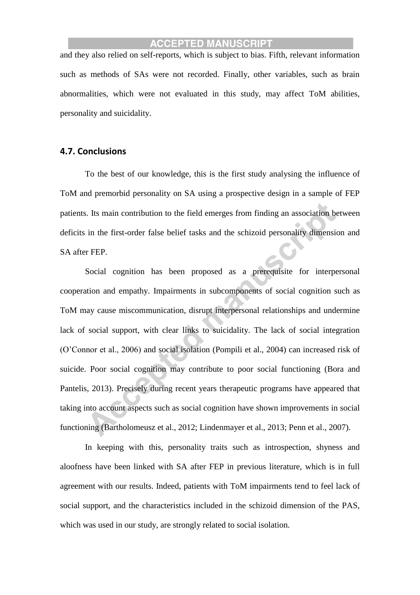and they also relied on self-reports, which is subject to bias. Fifth, relevant information such as methods of SAs were not recorded. Finally, other variables, such as brain abnormalities, which were not evaluated in this study, may affect ToM abilities, personality and suicidality.

# **4.7. Conclusions**

To the best of our knowledge, this is the first study analysing the influence of ToM and premorbid personality on SA using a prospective design in a sample of FEP patients. Its main contribution to the field emerges from finding an association between deficits in the first-order false belief tasks and the schizoid personality dimension and SA after FEP.

Social cognition has been proposed as a prerequisite for interpersonal cooperation and empathy. Impairments in subcomponents of social cognition such as ToM may cause miscommunication, disrupt interpersonal relationships and undermine lack of social support, with clear links to suicidality. The lack of social integration (O'Connor et al., 2006) and social isolation (Pompili et al., 2004) can increased risk of suicide. Poor social cognition may contribute to poor social functioning (Bora and Pantelis, 2013). Precisely during recent years therapeutic programs have appeared that taking into account aspects such as social cognition have shown improvements in social functioning (Bartholomeusz et al., 2012; Lindenmayer et al., 2013; Penn et al., 2007).

In keeping with this, personality traits such as introspection, shyness and aloofness have been linked with SA after FEP in previous literature, which is in full agreement with our results. Indeed, patients with ToM impairments tend to feel lack of social support, and the characteristics included in the schizoid dimension of the PAS, which was used in our study, are strongly related to social isolation.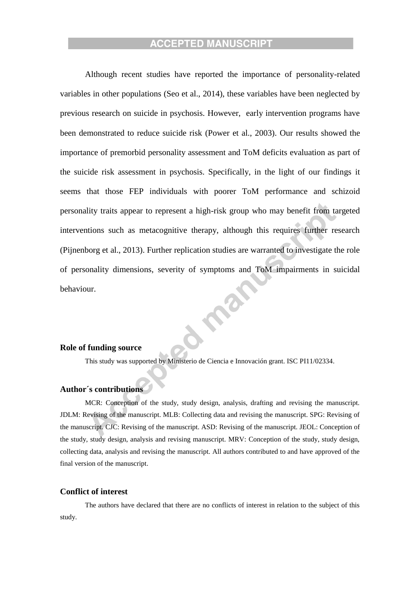Although recent studies have reported the importance of personality-related variables in other populations (Seo et al., 2014), these variables have been neglected by previous research on suicide in psychosis. However, early intervention programs have been demonstrated to reduce suicide risk (Power et al., 2003). Our results showed the importance of premorbid personality assessment and ToM deficits evaluation as part of the suicide risk assessment in psychosis. Specifically, in the light of our findings it seems that those FEP individuals with poorer ToM performance and schizoid personality traits appear to represent a high-risk group who may benefit from targeted interventions such as metacognitive therapy, although this requires further research (Pijnenborg et al., 2013). Further replication studies are warranted to investigate the role of personality dimensions, severity of symptoms and ToM impairments in suicidal behaviour. RE

#### **Role of funding source**

This study was supported by Ministerio de Ciencia e Innovación grant. ISC PI11/02334.

#### **Author´s contributions**

MCR: Conception of the study, study design, analysis, drafting and revising the manuscript. JDLM: Revising of the manuscript. MLB: Collecting data and revising the manuscript. SPG: Revising of the manuscript. CJC: Revising of the manuscript. ASD: Revising of the manuscript. JEOL: Conception of the study, study design, analysis and revising manuscript. MRV: Conception of the study, study design, collecting data, analysis and revising the manuscript. All authors contributed to and have approved of the final version of the manuscript.

#### **Conflict of interest**

The authors have declared that there are no conflicts of interest in relation to the subject of this study.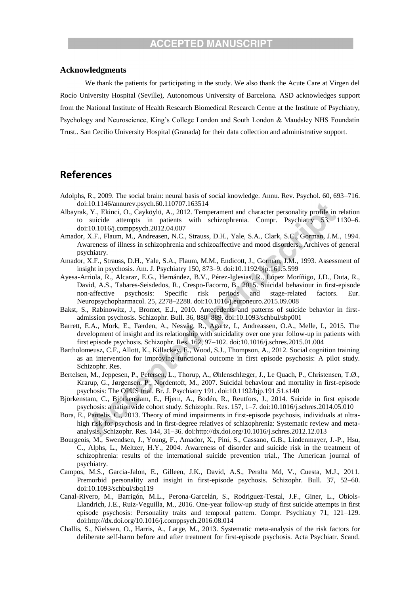#### **Acknowledgments**

We thank the patients for participating in the study. We also thank the Acute Care at Virgen del Rocío University Hospital (Seville), Autonomous University of Barcelona. ASD acknowledges support from the National Institute of Health Research Biomedical Research Centre at the Institute of Psychiatry, Psychology and Neuroscience, King's College London and South London & Maudsley NHS Foundatin Trust.. San Cecilio University Hospital (Granada) for their data collection and administrative support.

# **References**

- Adolphs, R., 2009. The social brain: neural basis of social knowledge. Annu. Rev. Psychol. 60, 693–716. doi:10.1146/annurev.psych.60.110707.163514
- Albayrak, Y., Ekinci, O., Cayköylü, A., 2012. Temperament and character personality profile in relation to suicide attempts in patients with schizophrenia. Compr. Psychiatry 53, 1130–6. doi:10.1016/j.comppsych.2012.04.007
- Amador, X.F., Flaum, M., Andreasen, N.C., Strauss, D.H., Yale, S.A., Clark, S.C., Gorman, J.M., 1994. Awareness of illness in schizophrenia and schizoaffective and mood disorders., Archives of general psychiatry.
- Amador, X.F., Strauss, D.H., Yale, S.A., Flaum, M.M., Endicott, J., Gorman, J.M., 1993. Assessment of insight in psychosis. Am. J. Psychiatry 150, 873–9. doi:10.1192/bjp.161.5.599
- Ayesa-Arriola, R., Alcaraz, E.G., Hernández, B.V., Pérez-Iglesias, R., López Moríñigo, J.D., Duta, R., David, A.S., Tabares-Seisdedos, R., Crespo-Facorro, B., 2015. Suicidal behaviour in first-episode non-affective psychosis: Specific risk periods and stage-related factors. Eur. Neuropsychopharmacol. 25, 2278–2288. doi:10.1016/j.euroneuro.2015.09.008
- Bakst, S., Rabinowitz, J., Bromet, E.J., 2010. Antecedents and patterns of suicide behavior in firstadmission psychosis. Schizophr. Bull. 36, 880–889. doi:10.1093/schbul/sbp001
- Barrett, E.A., Mork, E., Færden, A., Nesvåg, R., Agartz, I., Andreassen, O.A., Melle, I., 2015. The development of insight and its relationship with suicidality over one year follow-up in patients with first episode psychosis. Schizophr. Res. 162, 97–102. doi:10.1016/j.schres.2015.01.004
- Bartholomeusz, C.F., Allott, K., Killackey, E., Wood, S.J., Thompson, A., 2012. Social cognition training as an intervention for improving functional outcome in first episode psychosis: A pilot study. Schizophr. Res.
- Bertelsen, M., Jeppesen, P., Petersen, L., Thorup, A., Øhlenschlæger, J., Le Quach, P., Christensen, T.Ø., Krarup, G., Jørgensen, P., Nordentoft, M., 2007. Suicidal behaviour and mortality in first-episode psychosis: The OPUS trial. Br. J. Psychiatry 191. doi:10.1192/bjp.191.51.s140
- Björkenstam, C., Björkenstam, E., Hjern, A., Bodén, R., Reutfors, J., 2014. Suicide in first episode psychosis: a nationwide cohort study. Schizophr. Res. 157, 1–7. doi:10.1016/j.schres.2014.05.010
- Bora, E., Pantelis, C., 2013. Theory of mind impairments in first-episode psychosis, individuals at ultrahigh risk for psychosis and in first-degree relatives of schizophrenia: Systematic review and metaanalysis. Schizophr. Res. 144, 31–36. doi:http://dx.doi.org/10.1016/j.schres.2012.12.013
- Bourgeois, M., Swendsen, J., Young, F., Amador, X., Pini, S., Cassano, G.B., Lindenmayer, J.-P., Hsu, C., Alphs, L., Meltzer, H.Y., 2004. Awareness of disorder and suicide risk in the treatment of schizophrenia: results of the international suicide prevention trial., The American journal of psychiatry.
- Campos, M.S., Garcia-Jalon, E., Gilleen, J.K., David, A.S., Peralta Md, V., Cuesta, M.J., 2011. Premorbid personality and insight in first-episode psychosis. Schizophr. Bull. 37, 52–60. doi:10.1093/schbul/sbq119
- Canal-Rivero, M., Barrigón, M.L., Perona-Garcelán, S., Rodriguez-Testal, J.F., Giner, L., Obiols-Llandrich, J.E., Ruiz-Veguilla, M., 2016. One-year follow-up study of first suicide attempts in first episode psychosis: Personality traits and temporal pattern. Compr. Psychiatry 71, 121–129. doi:http://dx.doi.org/10.1016/j.comppsych.2016.08.014
- Challis, S., Nielssen, O., Harris, A., Large, M., 2013. Systematic meta-analysis of the risk factors for deliberate self-harm before and after treatment for first-episode psychosis. Acta Psychiatr. Scand.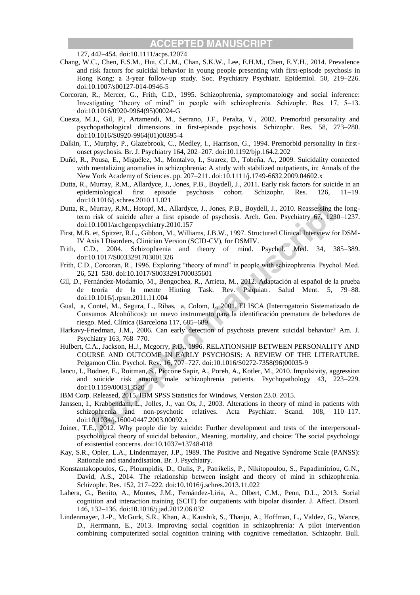127, 442–454. doi:10.1111/acps.12074

- Chang, W.C., Chen, E.S.M., Hui, C.L.M., Chan, S.K.W., Lee, E.H.M., Chen, E.Y.H., 2014. Prevalence and risk factors for suicidal behavior in young people presenting with first-episode psychosis in Hong Kong: a 3-year follow-up study. Soc. Psychiatry Psychiatr. Epidemiol. 50, 219–226. doi:10.1007/s00127-014-0946-5
- Corcoran, R., Mercer, G., Frith, C.D., 1995. Schizophrenia, symptomatology and social inference: Investigating "theory of mind" in people with schizophrenia. Schizophr. Res. 17, 5–13. doi:10.1016/0920-9964(95)00024-G
- Cuesta, M.J., Gil, P., Artamendi, M., Serrano, J.F., Peralta, V., 2002. Premorbid personality and psychopathological dimensions in first-episode psychosis. Schizophr. Res. 58, 273–280. doi:10.1016/S0920-9964(01)00395-4
- Dalkin, T., Murphy, P., Glazebrook, C., Medley, I., Harrison, G., 1994. Premorbid personality in firstonset psychosis. Br. J. Psychiatry 164, 202–207. doi:10.1192/bjp.164.2.202
- Duñó, R., Pousa, E., Miguélez, M., Montalvo, I., Suarez, D., Tobeña, A., 2009. Suicidality connected with mentalizing anomalies in schizophrenia: A study with stabilized outpatients, in: Annals of the New York Academy of Sciences. pp. 207–211. doi:10.1111/j.1749-6632.2009.04602.x
- Dutta, R., Murray, R.M., Allardyce, J., Jones, P.B., Boydell, J., 2011. Early risk factors for suicide in an epidemiological first episode psychosis cohort. Schizophr. Res. 126, 11–19. doi:10.1016/j.schres.2010.11.021
- Dutta, R., Murray, R.M., Hotopf, M., Allardyce, J., Jones, P.B., Boydell, J., 2010. Reassessing the longterm risk of suicide after a first episode of psychosis. Arch. Gen. Psychiatry 67, 1230–1237. doi:10.1001/archgenpsychiatry.2010.157
- First, M.B. et, Spitzer, R.L., Gibbon, M., Williams, J.B.W., 1997. Structured Clinical Interview for DSM-IV Axis I Disorders, Clinician Version (SCID-CV), for DSMIV.
- Frith, C.D., 2004. Schizophrenia and theory of mind. Psychol. Med. 34, 385–389. doi:10.1017/S0033291703001326
- Frith, C.D., Corcoran, R., 1996. Exploring "theory of mind" in people with schizophrenia. Psychol. Med. 26, 521–530. doi:10.1017/S0033291700035601
- Gil, D., Fernández-Modamio, M., Bengochea, R., Arrieta, M., 2012. Adaptación al español de la prueba de teoría de la mente Hinting Task. Rev. Psiquiatr. Salud Ment. 5, 79–88. doi:10.1016/j.rpsm.2011.11.004
- Gual, a, Contel, M., Segura, L., Ribas, a, Colom, J., 2001. El ISCA (Interrogatorio Sistematizado de Consumos Alcohólicos): un nuevo instrumento para la identificación prematura de bebedores de riesgo. Med. Clínica (Barcelona 117, 685–689.
- Harkavy-Friedman, J.M., 2006. Can early detection of psychosis prevent suicidal behavior? Am. J. Psychiatry 163, 768–770.
- Hulbert, C.A., Jackson, H.J., Mcgorry, P.D., 1996. RELATIONSHIP BETWEEN PERSONALITY AND COURSE AND OUTCOME IN EARLY PSYCHOSIS: A REVIEW OF THE LITERATURE. Pelgamon Clin. Psychol. Rev. 16, 707–727. doi:10.1016/S0272-7358(96)00035-9
- Iancu, I., Bodner, E., Roitman, S., Piccone Sapir, A., Poreh, A., Kotler, M., 2010. Impulsivity, aggression and suicide risk among male schizophrenia patients. Psychopathology 43, 223–229. doi:10.1159/000313520
- IBM Corp. Released, 2015. IBM SPSS Statistics for Windows, Version 23.0. 2015.
- Janssen, I., Krabbendam, L., Jolles, J., van Os, J., 2003. Alterations in theory of mind in patients with schizophrenia and non-psychotic relatives. Acta Psychiatr. Scand. 108, 110–117. doi:10.1034/j.1600-0447.2003.00092.x
- Joiner, T.E., 2012. Why people die by suicide: Further development and tests of the interpersonalpsychological theory of suicidal behavior., Meaning, mortality, and choice: The social psychology of existential concerns. doi:10.1037=13748-018
- Kay, S.R., Opler, L.A., Lindenmayer, J.P., 1989. The Positive and Negative Syndrome Scale (PANSS): Rationale and standardisation. Br. J. Psychiatry.
- Konstantakopoulos, G., Ploumpidis, D., Oulis, P., Patrikelis, P., Nikitopoulou, S., Papadimitriou, G.N., David, A.S., 2014. The relationship between insight and theory of mind in schizophrenia. Schizophr. Res. 152, 217–222. doi:10.1016/j.schres.2013.11.022
- Lahera, G., Benito, A., Montes, J.M., Fernández-Liria, A., Olbert, C.M., Penn, D.L., 2013. Social cognition and interaction training (SCIT) for outpatients with bipolar disorder. J. Affect. Disord. 146, 132–136. doi:10.1016/j.jad.2012.06.032
- Lindenmayer, J.-P., McGurk, S.R., Khan, A., Kaushik, S., Thanju, A., Hoffman, L., Valdez, G., Wance, D., Herrmann, E., 2013. Improving social cognition in schizophrenia: A pilot intervention combining computerized social cognition training with cognitive remediation. Schizophr. Bull.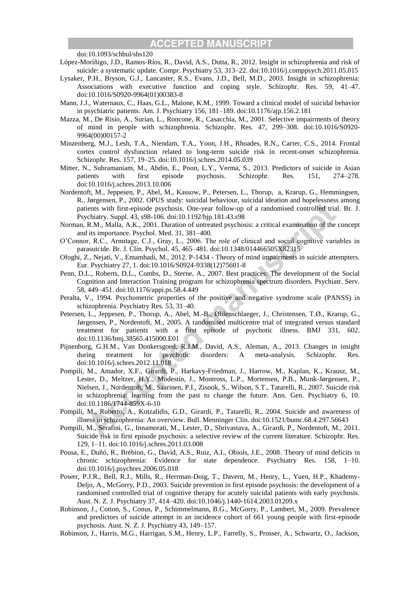doi:10.1093/schbul/sbs120

- López-Moríñigo, J.D., Ramos-Ríos, R., David, A.S., Dutta, R., 2012. Insight in schizophrenia and risk of suicide: a systematic update. Compr. Psychiatry 53, 313–22. doi:10.1016/j.comppsych.2011.05.015
- Lysaker, P.H., Bryson, G.J., Lancaster, R.S., Evans, J.D., Bell, M.D., 2003. Insight in schizophrenia: Associations with executive function and coping style. Schizophr. Res. 59, 41–47. doi:10.1016/S0920-9964(01)00383-8
- Mann, J.J., Waternaux, C., Haas, G.L., Malone, K.M., 1999. Toward a clinical model of suicidal behavior in psychiatric patients. Am. J. Psychiatry 156, 181–189. doi:10.1176/ajp.156.2.181
- Mazza, M., De Risio, A., Surian, L., Roncone, R., Casacchia, M., 2001. Selective impairments of theory of mind in people with schizophrenia. Schizophr. Res. 47, 299–308. doi:10.1016/S0920- 9964(00)00157-2
- Minzenberg, M.J., Lesh, T.A., Niendam, T.A., Yoon, J.H., Rhoades, R.N., Carter, C.S., 2014. Frontal cortex control dysfunction related to long-term suicide risk in recent-onset schizophrenia. Schizophr. Res. 157, 19–25. doi:10.1016/j.schres.2014.05.039
- Mitter, N., Subramaniam, M., Abdin, E., Poon, L.Y., Verma, S., 2013. Predictors of suicide in Asian patients with first episode psychosis. Schizophr. Res. 151, 274–278. doi:10.1016/j.schres.2013.10.006
- Nordentoft, M., Jeppesen, P., Abel, M., Kassow, P., Petersen, L., Thorup, a, Krarup, G., Hemmingsen, R., Jørgensen, P., 2002. OPUS study: suicidal behaviour, suicidal ideation and hopelessness among patients with first-episode psychosis. One-year follow-up of a randomised controlled trial. Br. J. Psychiatry. Suppl. 43, s98-106. doi:10.1192/bjp.181.43.s98
- Norman, R.M., Malla, A.K., 2001. Duration of untreated psychosis: a critical examination of the concept and its importance. Psychol. Med. 31, 381–400.
- O'Connor, R.C., Armitage, C.J., Gray, L., 2006. The role of clinical and social cognitive variables in parasuicide. Br. J. Clin. Psychol. 45, 465–481. doi:10.1348/014466505X82315
- Ofoghi, Z., Nejati, V., Emamhadi, M., 2012. P-1434 Theory of mind impairments in suicide attempters. Eur. Psychiatry 27, 1. doi:10.1016/S0924-9338(12)75601-8
- Penn, D.L., Roberts, D.L., Combs, D., Sterne, A., 2007. Best practices: The development of the Social Cognition and Interaction Training program for schizophrenia spectrum disorders. Psychiatr. Serv. 58, 449–451. doi:10.1176/appi.ps.58.4.449
- Peralta, V., 1994. Psychometric properties of the positive and negative syndrome scale (PANSS) in schizophrenia. Psychiatry Res. 53, 31–40.
- Petersen, L., Jeppesen, P., Thorup, A., Abel, M.-B., Øhlenschlaeger, J., Christensen, T.Ø., Krarup, G., Jørgensen, P., Nordentoft, M., 2005. A randomised multicentre trial of integrated versus standard treatment for patients with a first episode of psychotic illness. BMJ 331, 602. doi:10.1136/bmj.38565.415000.E01
- Pijnenborg, G.H.M., Van Donkersgoed, R.J.M., David, A.S., Aleman, A., 2013. Changes in insight during treatment for psychotic disorders: A meta-analysis. Schizophr. Res. doi:10.1016/j.schres.2012.11.018
- Pompili, M., Amador, X.F., Girardi, P., Harkavy-Friedman, J., Harrow, M., Kaplan, K., Krausz, M., Lester, D., Meltzer, H.Y., Modestin, J., Montross, L.P., Mortensen, P.B., Munk-Jørgensen, P., Nielsen, J., Nordentoft, M., Saarinen, P.I., Zisook, S., Wilson, S.T., Tatarelli, R., 2007. Suicide risk in schizophrenia: learning from the past to change the future. Ann. Gen. Psychiatry 6, 10. doi:10.1186/1744-859X-6-10
- Pompili, M., Ruberto, A., Kotzalidis, G.D., Girardi, P., Tatarelli, R., 2004. Suicide and awareness of illness in schizophrenia: An overview. Bull. Menninger Clin. doi:10.1521/bumc.68.4.297.56643
- Pompili, M., Serafini, G., Innamorati, M., Lester, D., Shrivastava, A., Girardi, P., Nordentoft, M., 2011. Suicide risk in first episode psychosis: a selective review of the current literature. Schizophr. Res. 129, 1–11. doi:10.1016/j.schres.2011.03.008
- Pousa, E., Duñó, R., Brébion, G., David, A.S., Ruiz, A.I., Obiols, J.E., 2008. Theory of mind deficits in chronic schizophrenia: Evidence for state dependence. Psychiatry Res. 158, 1–10. doi:10.1016/j.psychres.2006.05.018
- Power, P.J.R., Bell, R.J., Mills, R., Herrman-Doig, T., Davern, M., Henry, L., Yuen, H.P., Khademy-Deljo, A., McGorry, P.D., 2003. Suicide prevention in first episode psychosis: the development of a randomised controlled trial of cognitive therapy for acutely suicidal patients with early psychosis. Aust. N. Z. J. Psychiatry 37, 414–420. doi:10.1046/j.1440-1614.2003.01209.x
- Robinson, J., Cotton, S., Conus, P., Schimmelmann, B.G., McGorry, P., Lambert, M., 2009. Prevalence and predictors of suicide attempt in an incidence cohort of 661 young people with first-episode psychosis. Aust. N. Z. J. Psychiatry 43, 149–157.
- Robinson, J., Harris, M.G., Harrigan, S.M., Henry, L.P., Farrelly, S., Prosser, A., Schwartz, O., Jackson,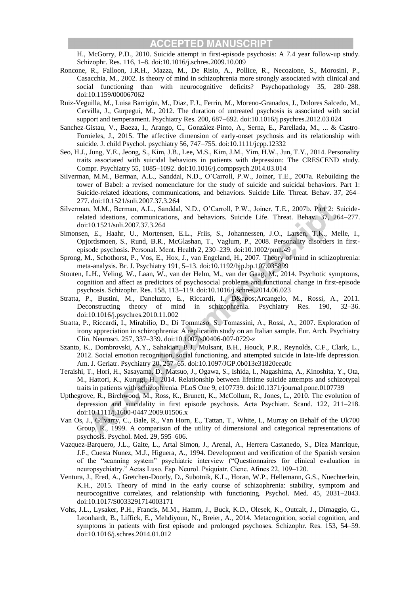H., McGorry, P.D., 2010. Suicide attempt in first-episode psychosis: A 7.4 year follow-up study. Schizophr. Res. 116, 1–8. doi:10.1016/j.schres.2009.10.009

- Roncone, R., Falloon, I.R.H., Mazza, M., De Risio, A., Pollice, R., Necozione, S., Morosini, P., Casacchia, M., 2002. Is theory of mind in schizophrenia more strongly associated with clinical and social functioning than with neurocognitive deficits? Psychopathology 35, 280–288. doi:10.1159/000067062
- Ruiz-Veguilla, M., Luisa Barrigón, M., Diaz, F.J., Ferrin, M., Moreno-Granados, J., Dolores Salcedo, M., Cervilla, J., Gurpegui, M., 2012. The duration of untreated psychosis is associated with social support and temperament. Psychiatry Res. 200, 687–692. doi:10.1016/j.psychres.2012.03.024
- Sanchez-Gistau, V., Baeza, I., Arango, C., González-Pinto, A., Serna, E., Parellada, M., ... & Castro-Fornieles, J., 2015. The affective dimension of early-onset psychosis and its relationship with suicide. J. child Psychol. psychiatry 56, 747–755. doi:10.1111/jcpp.12332
- Seo, H.J., Jung, Y.E., Jeong, S., Kim, J.B., Lee, M.S., Kim, J.M., Yim, H.W., Jun, T.Y., 2014. Personality traits associated with suicidal behaviors in patients with depression: The CRESCEND study. Compr. Psychiatry 55, 1085–1092. doi:10.1016/j.comppsych.2014.03.014
- Silverman, M.M., Berman, A.L., Sanddal, N.D., O'Carroll, P.W., Joiner, T.E., 2007a. Rebuilding the tower of Babel: a revised nomenclature for the study of suicide and suicidal behaviors. Part 1: Suicide-related ideations, communications, and behaviors. Suicide Life. Threat. Behav. 37, 264– 277. doi:10.1521/suli.2007.37.3.264
- Silverman, M.M., Berman, A.L., Sanddal, N.D., O'Carroll, P.W., Joiner, T.E., 2007b. Part 2: Suiciderelated ideations, communications, and behaviors. Suicide Life. Threat. Behav. 37, 264–277. doi:10.1521/suli.2007.37.3.264
- Simonsen, E., Haahr, U., Mortensen, E.L., Friis, S., Johannessen, J.O., Larsen, T.K., Melle, I., Opjordsmoen, S., Rund, B.R., McGlashan, T., Vaglum, P., 2008. Personality disorders in firstepisode psychosis. Personal. Ment. Health 2, 230–239. doi:10.1002/pmh.49
- Sprong, M., Schothorst, P., Vos, E., Hox, J., van Engeland, H., 2007. Theory of mind in schizophrenia: meta-analysis. Br. J. Psychiatry 191, 5–13. doi:10.1192/bjp.bp.107.035899
- Stouten, L.H., Veling, W., Laan, W., van der Helm, M., van der Gaag, M., 2014. Psychotic symptoms, cognition and affect as predictors of psychosocial problems and functional change in first-episode psychosis. Schizophr. Res. 158, 113–119. doi:10.1016/j.schres.2014.06.023
- Stratta, P., Bustini, M., Daneluzzo, E., Riccardi, I., D' Arcangelo, M., Rossi, A., 2011. Deconstructing theory of mind in schizophrenia. Psychiatry Res. 190, 32–36. doi:10.1016/j.psychres.2010.11.002
- Stratta, P., Riccardi, I., Mirabilio, D., Di Tommaso, S., Tomassini, A., Rossi, A., 2007. Exploration of irony appreciation in schizophrenia: A replication study on an Italian sample. Eur. Arch. Psychiatry Clin. Neurosci. 257, 337–339. doi:10.1007/s00406-007-0729-z
- Szanto, K., Dombrovski, A.Y., Sahakian, B.J., Mulsant, B.H., Houck, P.R., Reynolds, C.F., Clark, L., 2012. Social emotion recognition, social functioning, and attempted suicide in late-life depression. Am. J. Geriatr. Psychiatry 20, 257–65. doi:10.1097/JGP.0b013e31820eea0c
- Teraishi, T., Hori, H., Sasayama, D., Matsuo, J., Ogawa, S., Ishida, I., Nagashima, A., Kinoshita, Y., Ota, M., Hattori, K., Kunugi, H., 2014. Relationship between lifetime suicide attempts and schizotypal traits in patients with schizophrenia. PLoS One 9, e107739. doi:10.1371/journal.pone.0107739
- Upthegrove, R., Birchwood, M., Ross, K., Brunett, K., McCollum, R., Jones, L., 2010. The evolution of depression and suicidality in first episode psychosis. Acta Psychiatr. Scand. 122, 211–218. doi:10.1111/j.1600-0447.2009.01506.x
- Van Os, J., Gilvarry, C., Bale, R., Van Horn, E., Tattan, T., White, I., Murray on Behalf of the Uk700 Group, R., 1999. A comparison of the utility of dimensional and categorical representations of psychosis. Psychol. Med. 29, 595–606.
- Vazquez-Barquero, J.L., Gaite, L., Artal Simon, J., Arenal, A., Herrera Castanedo, S., Diez Manrique, J.F., Cuesta Nunez, M.J., Higuera, A., 1994. Development and verification of the Spanish version of the "scanning system" psychiatric interview ("Questionnaires for clinical evaluation in neuropsychiatry." Actas Luso. Esp. Neurol. Psiquiatr. Cienc. Afines 22, 109–120.
- Ventura, J., Ered, A., Gretchen-Doorly, D., Subotnik, K.L., Horan, W.P., Hellemann, G.S., Nuechterlein, K.H., 2015. Theory of mind in the early course of schizophrenia: stability, symptom and neurocognitive correlates, and relationship with functioning. Psychol. Med. 45, 2031–2043. doi:10.1017/S0033291714003171
- Vohs, J.L., Lysaker, P.H., Francis, M.M., Hamm, J., Buck, K.D., Olesek, K., Outcalt, J., Dimaggio, G., Leonhardt, B., Liffick, E., Mehdiyoun, N., Breier, A., 2014. Metacognition, social cognition, and symptoms in patients with first episode and prolonged psychoses. Schizophr. Res. 153, 54–59. doi:10.1016/j.schres.2014.01.012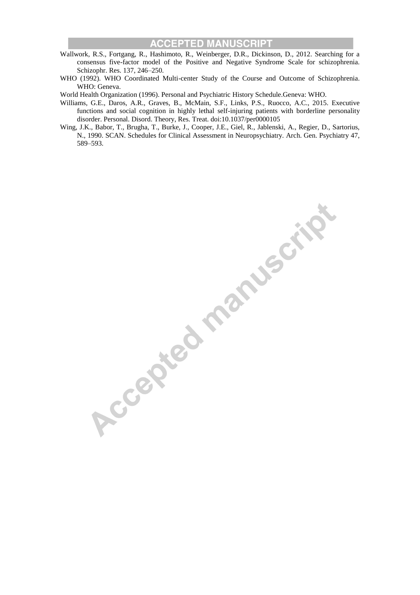- Wallwork, R.S., Fortgang, R., Hashimoto, R., Weinberger, D.R., Dickinson, D., 2012. Searching for a consensus five-factor model of the Positive and Negative Syndrome Scale for schizophrenia. Schizophr. Res. 137, 246–250.
- WHO (1992). WHO Coordinated Multi-center Study of the Course and Outcome of Schizophrenia. WHO: Geneva.
- World Health Organization (1996). Personal and Psychiatric History Schedule.Geneva: WHO.
- Williams, G.E., Daros, A.R., Graves, B., McMain, S.F., Links, P.S., Ruocco, A.C., 2015. Executive functions and social cognition in highly lethal self-injuring patients with borderline personality disorder. Personal. Disord. Theory, Res. Treat. doi:10.1037/per0000105
- Wing, J.K., Babor, T., Brugha, T., Burke, J., Cooper, J.E., Giel, R., Jablenski, A., Regier, D., Sartorius, N., 1990. SCAN. Schedules for Clinical Assessment in Neuropsychiatry. Arch. Gen. Psychiatry 47,

**Procepted manuscript**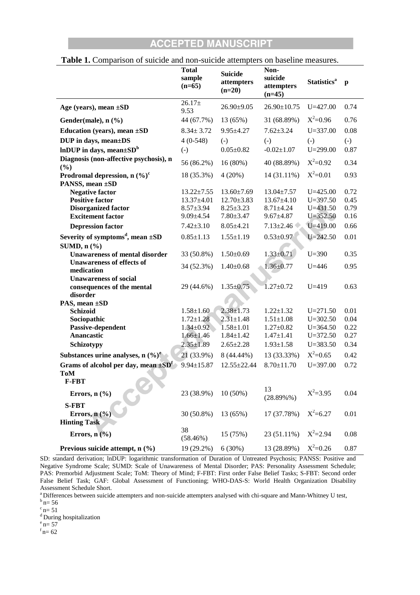|                                                                        | <b>Total</b><br>sample<br>$(n=65)$   | <b>Suicide</b><br>attempters<br>$(n=20)$ | Non-<br>suicide<br>attempters<br>$(n=45)$ |                              | $\mathbf{p}$      |  |
|------------------------------------------------------------------------|--------------------------------------|------------------------------------------|-------------------------------------------|------------------------------|-------------------|--|
| Age (years), mean $\pm SD$                                             | $26.17+$<br>9.53                     | $26.90 \pm 9.05$                         | $26.90 \pm 10.75$                         | $U = 427.00$                 | 0.74              |  |
| Gender(male), n (%)                                                    | 44 (67.7%)                           | 13 (65%)                                 | 31 (68.89%)                               | $X^2=0.96$                   | 0.76              |  |
| Education (years), mean $\pm SD$                                       | $8.34 \pm 3.72$                      | $9.95 \pm 4.27$                          | $7.62 \pm 3.24$                           | $U = 337.00$                 | 0.08              |  |
| DUP in days, mean±DS                                                   | $4(0-548)$                           | $(-)$                                    | $(-)$                                     | $(-)$                        | $\left( -\right)$ |  |
| InDUP in days, mean $\pm SD^b$                                         | $(-)$                                | $0.05 \pm 0.82$                          | $-0.02 \pm 1.07$                          | $U = 299.00$                 | 0.87              |  |
| Diagnosis (non-affective psychosis), n<br>$(\%)$                       | 56 (86.2%)                           | 16 (80%)                                 | 40 (88.89%)                               | $X^2=0.92$                   | 0.34              |  |
| Prodromal depression, $n (\%)^c$                                       | 18 (35.3%)                           | 4(20%)                                   | 14 (31.11%)                               | $X^2 = 0.01$                 | 0.93              |  |
| PANSS, mean ±SD                                                        |                                      |                                          |                                           |                              |                   |  |
| <b>Negative factor</b><br><b>Positive factor</b>                       | $13.22 \pm 7.55$<br>$13.37 \pm 4.01$ | $13.60 \pm 7.69$<br>$12.70 \pm 3.83$     | $13.04 \pm 7.57$<br>$13.67 \pm 4.10$      | $U = 425.00$<br>$U = 397.50$ | 0.72<br>0.45      |  |
| <b>Disorganized factor</b>                                             | $8.57 \pm 3.94$                      | $8.25 \pm 3.23$                          | $8.71 \pm 4.24$                           | $U = 431.50$                 | 0.79              |  |
| <b>Excitement factor</b>                                               | $9.09 \pm 4.54$                      | $7.80 \pm 3.47$                          | $9.67 \pm 4.87$                           | $U = 352.50$                 | 0.16              |  |
| <b>Depression factor</b>                                               | $7.42 \pm 3.10$                      | $8.05 \pm 4.21$                          | $7.13 \pm 2.46$                           | $U = 419.00$                 | 0.66              |  |
| Severity of symptoms <sup>d</sup> , mean $\pm SD$                      | $0.85 \pm 1.13$                      | $1.55 \pm 1.19$                          | $0.53 \pm 0.97$                           | $U = 242.50$                 | 0.01              |  |
| SUMD, $n$ $\left(\frac{9}{6}\right)$                                   |                                      |                                          |                                           |                              |                   |  |
| <b>Unawareness of mental disorder</b>                                  | 33 (50.8%)                           | $1.50 \pm 0.69$                          | $1.33 \pm 0.71$                           | $U = 390$                    | 0.35              |  |
| <b>Unawareness of effects of</b><br>medication                         | 34 (52.3%)                           | $1.40 \pm 0.68$                          | $1.36 \pm 0.77$                           | $U = 446$                    | 0.95              |  |
| <b>Unawareness of social</b><br>consequences of the mental<br>disorder | 29 (44.6%)                           | $1.35 \pm 0.75$                          | $1.27 \pm 0.72$                           | $U = 419$                    | 0.63              |  |
| PAS, mean ±SD                                                          |                                      |                                          |                                           |                              |                   |  |
| <b>Schizoid</b>                                                        | $1.58 \pm 1.60$                      | $2.38 \pm 1.73$<br>$2.31 \pm 1.48$       | $1.22 \pm 1.32$                           | $U = 271.50$<br>$U = 302.50$ | 0.01<br>0.04      |  |
| Sociopathic<br>Passive-dependent                                       | $1.72 \pm 1.28$<br>$1.34 \pm 0.92$   | $1.58 \pm 1.01$                          | $1.51 \pm 1.08$<br>$1.27 \pm 0.82$        | $U = 364.50$                 | 0.22              |  |
| Anancastic                                                             | $1.66 \pm 1.46$                      | $1.84 \pm 1.42$                          | $1.47 \pm 1.41$                           | $U = 372.50$                 | 0.27              |  |
| Schizotypy                                                             | $2.35 \pm 1.89$                      | $2.65 \pm 2.28$                          | $1.93 \pm 1.58$                           | $U = 383.50$                 | 0.34              |  |
| Substances urine analyses, n $(\frac{9}{6})^e$                         | 21 (33.9%)                           | 8 (44.44%)                               | 13 (33.33%)                               | $X^2=0.65$                   | 0.42              |  |
| Grams of alcohol per day, mean $\pm SD^f$                              | $9.94 \pm 15.87$                     | $12.55 \pm 22.44$                        | $8.70 \pm 11.70$                          | $U = 397.00$                 | 0.72              |  |
| <b>ToM</b><br><b>F-FBT</b>                                             |                                      |                                          |                                           |                              |                   |  |
| Errors, $n$ $(\frac{6}{6})$                                            | 23 (38.9%)                           | $10(50\%)$                               | 13<br>$(28.89\%%$                         | $X^2 = 3.95$                 | 0.04              |  |
| <b>S-FBT</b><br>Errors, $n$ (%)<br><b>Hinting Task</b>                 | 30 (50.8%)                           | 13 (65%)                                 | 17 (37.78%)                               | $X^2 = 6.27$                 | 0.01              |  |
| Errors, $n$ $(\frac{6}{6})$                                            | 38<br>(58.46%)                       | 15 (75%)                                 | 23 (51.11%)                               | $X^2 = 2.94$                 | 0.08              |  |
| Previous suicide attempt, n (%)                                        | 19 (29.2%)                           | 6(30%)                                   | 13 (28.89%)                               | $X^2=0.26$                   | 0.87              |  |

#### **Table 1.** Comparison of suicide and non-suicide attempters on baseline measures.

SD: standard derivation; lnDUP: logarithmic transformation of Duration of Untreated Psychosis; PANSS: Positive and Negative Syndrome Scale; SUMD: Scale of Unawareness of Mental Disorder; PAS: Personality Assessment Schedule; PAS: Premorbid Adjustment Scale; ToM: Theory of Mind; F-FBT: First order False Belief Tasks; S-FBT: Second order False Belief Task; GAF: Global Assessment of Functioning; WHO-DAS-S: World Health Organization Disability Assessment Schedule Short.

<sup>a</sup> Differences between suicide attempters and non-suicide attempters analysed with chi-square and Mann-Whitney U test,  $b_{n=}^{b_{n=}}$  56

 $\degree$ n= 51

 $d$  During hospitalization

 $^{\circ}$  n= 57

 $f_{\text{n}}= 62$